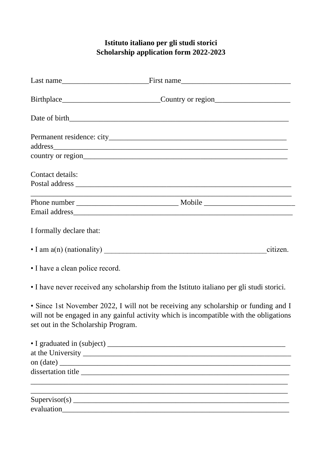## **Istituto italiano per gli studi storici Scholarship application form 2022-2023**

| Birthplace___________________________________Country or region__________________                                                                                                                                     |  |  |
|----------------------------------------------------------------------------------------------------------------------------------------------------------------------------------------------------------------------|--|--|
|                                                                                                                                                                                                                      |  |  |
|                                                                                                                                                                                                                      |  |  |
|                                                                                                                                                                                                                      |  |  |
| Contact details:                                                                                                                                                                                                     |  |  |
| <u> 1989 - Johann John Harry Harry Harry Harry Harry Harry Harry Harry Harry Harry Harry Harry Harry Harry Harry H</u>                                                                                               |  |  |
|                                                                                                                                                                                                                      |  |  |
| I formally declare that:                                                                                                                                                                                             |  |  |
| citizen.                                                                                                                                                                                                             |  |  |
| • I have a clean police record.                                                                                                                                                                                      |  |  |
| • I have never received any scholarship from the Istituto italiano per gli studi storici.                                                                                                                            |  |  |
| • Since 1st November 2022, I will not be receiving any scholarship or funding and I<br>will not be engaged in any gainful activity which is incompatible with the obligations<br>set out in the Scholarship Program. |  |  |
|                                                                                                                                                                                                                      |  |  |
|                                                                                                                                                                                                                      |  |  |
|                                                                                                                                                                                                                      |  |  |
|                                                                                                                                                                                                                      |  |  |

| Supervisor(s) |  |
|---------------|--|
| evaluation    |  |